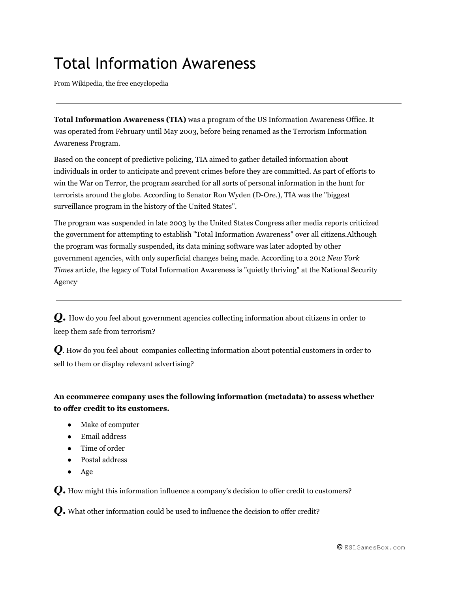## Total Information Awareness

From Wikipedia, the free encyclopedia

**Total Information Awareness (TIA)** was a program of the US [Information](http://www.google.com/url?q=http%3A%2F%2Fen.wikipedia.org%2Fwiki%2FInformation_Awareness_Office&sa=D&sntz=1&usg=AFQjCNF9HehyVtykI5xHbbY7IAl0l1hp2Q) Awareness Office. It was operated from February until May 2003, before being renamed as the Terrorism [Information](http://www.google.com/url?q=http%3A%2F%2Fen.wikipedia.org%2Fw%2Findex.php%3Ftitle%3DTerrorism_Information_Awareness_Program%26action%3Dedit%26redlink%3D1&sa=D&sntz=1&usg=AFQjCNEqSvxy4MC2JtJRztxlL9S68KoXJw) [Awareness](http://www.google.com/url?q=http%3A%2F%2Fen.wikipedia.org%2Fw%2Findex.php%3Ftitle%3DTerrorism_Information_Awareness_Program%26action%3Dedit%26redlink%3D1&sa=D&sntz=1&usg=AFQjCNEqSvxy4MC2JtJRztxlL9S68KoXJw) Program.

Based on the concept of [predictive](http://www.google.com/url?q=http%3A%2F%2Fen.wikipedia.org%2Fwiki%2FPredictive_policing&sa=D&sntz=1&usg=AFQjCNEsYM_pLEqrY-EdVOkATRl3yX6nKg) policing, TIA aimed to gather detailed information about individuals in order to anticipate and prevent crimes before they are committed. As part of efforts to win the War on [Terror,](http://www.google.com/url?q=http%3A%2F%2Fen.wikipedia.org%2Fwiki%2FWar_on_Terror&sa=D&sntz=1&usg=AFQjCNGVe-mrmxBGEtieqL8goqPDEbPRRQ) the program searched for all sorts of personal information in the hunt for terrorists around the globe. According to Senator Ron [Wyden](http://www.google.com/url?q=http%3A%2F%2Fen.wikipedia.org%2Fwiki%2FRon_Wyden&sa=D&sntz=1&usg=AFQjCNE3GnLpuT-Gn2yZsZzF2vN8v4G8Sw) (D-Ore.), TIA was the "biggest surveillance program in the [history](http://www.google.com/url?q=http%3A%2F%2Fen.wikipedia.org%2Fwiki%2FHistory_of_the_United_States&sa=D&sntz=1&usg=AFQjCNHDWtSCGrfxJUTSDEYdiRFVI66itw) of the United States".

The program was suspended in late 2003 by the United States [Congress](http://www.google.com/url?q=http%3A%2F%2Fen.wikipedia.org%2Fwiki%2FUnited_States_Congress&sa=D&sntz=1&usg=AFQjCNHV37JxxSCnkJcKqsxhD68SytOEwA) after media reports criticized the government for attempting to establish "Total Information Awareness" over all citizens.Although the program was formally suspended, its data [mining](http://www.google.com/url?q=http%3A%2F%2Fen.wikipedia.org%2Fwiki%2FData_mining&sa=D&sntz=1&usg=AFQjCNEe7rd9u4GUtua9CmOiApNMLvNd7Q) software was later adopted by other government agencies, with only superficial changes being made. According to a 2012 *New [York](http://www.google.com/url?q=http%3A%2F%2Fen.wikipedia.org%2Fwiki%2FNew_York_Times&sa=D&sntz=1&usg=AFQjCNGSbAOh_3zKMOpJXufDht7GBLi5-A) [Times](http://www.google.com/url?q=http%3A%2F%2Fen.wikipedia.org%2Fwiki%2FNew_York_Times&sa=D&sntz=1&usg=AFQjCNGSbAOh_3zKMOpJXufDht7GBLi5-A)* article, the legacy of Total Information Awareness is "quietly thriving" at the [National](http://www.google.com/url?q=http%3A%2F%2Fen.wikipedia.org%2Fwiki%2FNational_Security_Agency&sa=D&sntz=1&usg=AFQjCNHqroYpp0Di1K4WsY5td1-gaGJR-w) Security [Agency](http://www.google.com/url?q=http%3A%2F%2Fen.wikipedia.org%2Fwiki%2FNational_Security_Agency&sa=D&sntz=1&usg=AFQjCNHqroYpp0Di1K4WsY5td1-gaGJR-w) .

*Q***.** How do you feel about government agencies collecting information about citizens in order to keep them safe from terrorism?

*Q*. How do you feel about companies collecting information about potential customers in order to sell to them or display relevant advertising?

## **An ecommerce company uses the following information (metadata) to assess whether to offer credit to its customers.**

- Make of computer
- Email address
- Time of order
- Postal address
- Age

*Q***.** How might this information influence <sup>a</sup> company's decision to offer credit to customers?

*Q***.** What other information could be used to influence the decision to offer credit?